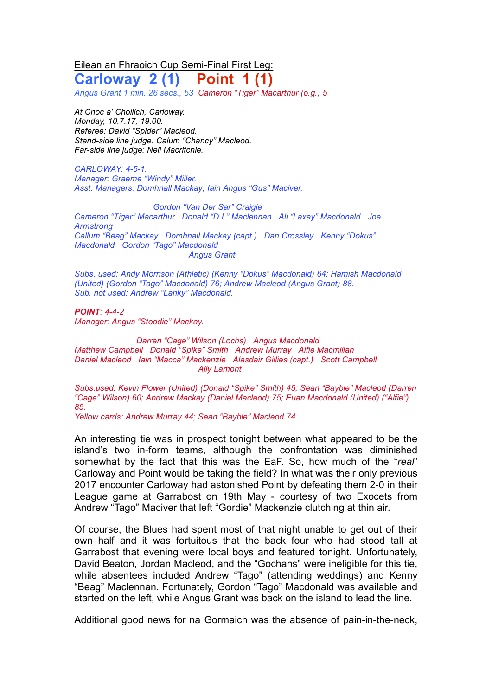Eilean an Fhraoich Cup Semi-Final First Leg:

**Carloway 2 (1) Point 1 (1)**

*Angus Grant 1 min. 26 secs., 53 Cameron "Tiger" Macarthur (o.g.) 5*

*At Cnoc a' Choilich, Carloway. Monday, 10.7.17, 19.00. Referee: David "Spider" Macleod. Stand-side line judge: Calum "Chancy" Macleod. Far-side line judge: Neil Macritchie.*

*CARLOWAY: 4-5-1. Manager: Graeme "Windy" Miller. Asst. Managers: Domhnall Mackay; Iain Angus "Gus" Maciver.*

*Gordon "Van Der Sar" Craigie Cameron "Tiger" Macarthur Donald "D.I." Maclennan Ali "Laxay" Macdonald Joe Armstrong Callum "Beag" Mackay Domhnall Mackay (capt.) Dan Crossley Kenny "Dokus" Macdonald Gordon "Tago" Macdonald Angus Grant*

*Subs. used: Andy Morrison (Athletic) (Kenny "Dokus" Macdonald) 64; Hamish Macdonald (United) (Gordon "Tago" Macdonald) 76; Andrew Macleod (Angus Grant) 88. Sub. not used: Andrew "Lanky" Macdonald.*

*POINT: 4-4-2 Manager: Angus "Stoodie" Mackay.*

*Darren "Cage" Wilson (Lochs) Angus Macdonald Matthew Campbell Donald "Spike" Smith Andrew Murray Alfie Macmillan Daniel Macleod Iain "Macca" Mackenzie Alasdair Gillies (capt.) Scott Campbell Ally Lamont*

*Subs.used: Kevin Flower (United) (Donald "Spike" Smith) 45; Sean "Bayble" Macleod (Darren "Cage" Wilson) 60; Andrew Mackay (Daniel Macleod) 75; Euan Macdonald (United) ("Alfie") 85.*

*Yellow cards: Andrew Murray 44; Sean "Bayble" Macleod 74.*

An interesting tie was in prospect tonight between what appeared to be the island's two in-form teams, although the confrontation was diminished somewhat by the fact that this was the EaF. So, how much of the "*real*" Carloway and Point would be taking the field? In what was their only previous 2017 encounter Carloway had astonished Point by defeating them 2-0 in their League game at Garrabost on 19th May - courtesy of two Exocets from Andrew "Tago" Maciver that left "Gordie" Mackenzie clutching at thin air.

Of course, the Blues had spent most of that night unable to get out of their own half and it was fortuitous that the back four who had stood tall at Garrabost that evening were local boys and featured tonight. Unfortunately, David Beaton, Jordan Macleod, and the "Gochans" were ineligible for this tie, while absentees included Andrew "Tago" (attending weddings) and Kenny "Beag" Maclennan. Fortunately, Gordon "Tago" Macdonald was available and started on the left, while Angus Grant was back on the island to lead the line.

Additional good news for na Gormaich was the absence of pain-in-the-neck,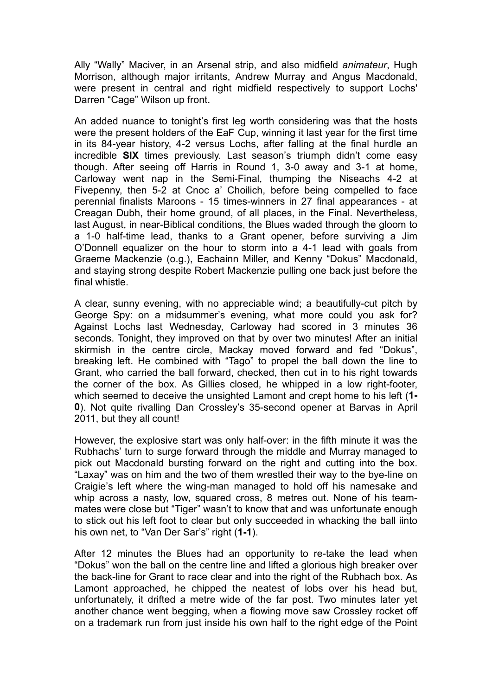Ally "Wally" Maciver, in an Arsenal strip, and also midfield *animateur*, Hugh Morrison, although major irritants, Andrew Murray and Angus Macdonald, were present in central and right midfield respectively to support Lochs' Darren "Cage" Wilson up front.

An added nuance to tonight's first leg worth considering was that the hosts were the present holders of the EaF Cup, winning it last year for the first time in its 84-year history, 4-2 versus Lochs, after falling at the final hurdle an incredible **SIX** times previously. Last season's triumph didn't come easy though. After seeing off Harris in Round 1, 3-0 away and 3-1 at home, Carloway went nap in the Semi-Final, thumping the Niseachs 4-2 at Fivepenny, then 5-2 at Cnoc a' Choilich, before being compelled to face perennial finalists Maroons - 15 times-winners in 27 final appearances - at Creagan Dubh, their home ground, of all places, in the Final. Nevertheless, last August, in near-Biblical conditions, the Blues waded through the gloom to a 1-0 half-time lead, thanks to a Grant opener, before surviving a Jim O'Donnell equalizer on the hour to storm into a 4-1 lead with goals from Graeme Mackenzie (o.g.), Eachainn Miller, and Kenny "Dokus" Macdonald, and staying strong despite Robert Mackenzie pulling one back just before the final whistle.

A clear, sunny evening, with no appreciable wind; a beautifully-cut pitch by George Spy: on a midsummer's evening, what more could you ask for? Against Lochs last Wednesday, Carloway had scored in 3 minutes 36 seconds. Tonight, they improved on that by over two minutes! After an initial skirmish in the centre circle, Mackay moved forward and fed "Dokus", breaking left. He combined with "Tago" to propel the ball down the line to Grant, who carried the ball forward, checked, then cut in to his right towards the corner of the box. As Gillies closed, he whipped in a low right-footer, which seemed to deceive the unsighted Lamont and crept home to his left (**1- 0**). Not quite rivalling Dan Crossley's 35-second opener at Barvas in April 2011, but they all count!

However, the explosive start was only half-over: in the fifth minute it was the Rubhachs' turn to surge forward through the middle and Murray managed to pick out Macdonald bursting forward on the right and cutting into the box. "Laxay" was on him and the two of them wrestled their way to the bye-line on Craigie's left where the wing-man managed to hold off his namesake and whip across a nasty, low, squared cross, 8 metres out. None of his teammates were close but "Tiger" wasn't to know that and was unfortunate enough to stick out his left foot to clear but only succeeded in whacking the ball iinto his own net, to "Van Der Sar's" right (**1-1**).

After 12 minutes the Blues had an opportunity to re-take the lead when "Dokus" won the ball on the centre line and lifted a glorious high breaker over the back-line for Grant to race clear and into the right of the Rubhach box. As Lamont approached, he chipped the neatest of lobs over his head but, unfortunately, it drifted a metre wide of the far post. Two minutes later yet another chance went begging, when a flowing move saw Crossley rocket off on a trademark run from just inside his own half to the right edge of the Point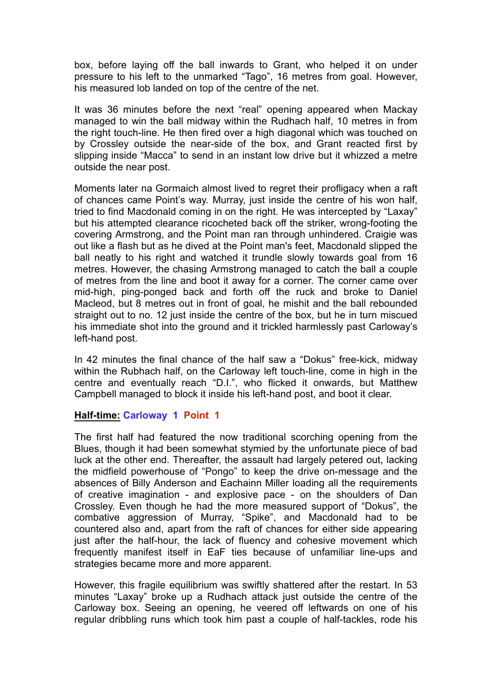box, before laying off the ball inwards to Grant, who helped it on under pressure to his left to the unmarked "Tago", 16 metres from goal. However, his measured lob landed on top of the centre of the net.

It was 36 minutes before the next "real" opening appeared when Mackay managed to win the ball midway within the Rudhach half, 10 metres in from the right touch-line. He then fired over a high diagonal which was touched on by Crossley outside the near-side of the box, and Grant reacted first by slipping inside "Macca" to send in an instant low drive but it whizzed a metre outside the near post.

Moments later na Gormaich almost lived to regret their profligacy when a raft of chances came Point's way. Murray, just inside the centre of his won half, tried to find Macdonald coming in on the right. He was intercepted by "Laxay" but his attempted clearance ricocheted back off the striker, wrong-footing the covering Armstrong, and the Point man ran through unhindered. Craigie was out like a flash but as he dived at the Point man's feet, Macdonald slipped the ball neatly to his right and watched it trundle slowly towards goal from 16 metres. However, the chasing Armstrong managed to catch the ball a couple of metres from the line and boot it away for a corner. The corner came over mid-high, ping-ponged back and forth off the ruck and broke to Daniel Macleod, but 8 metres out in front of goal, he mishit and the ball rebounded straight out to no. 12 just inside the centre of the box, but he in turn miscued his immediate shot into the ground and it trickled harmlessly past Carloway's left-hand post.

In 42 minutes the final chance of the half saw a "Dokus" free-kick, midway within the Rubhach half, on the Carloway left touch-line, come in high in the centre and eventually reach "D.I.", who flicked it onwards, but Matthew Campbell managed to block it inside his left-hand post, and boot it clear.

## **Half-time: Carloway 1 Point 1**

The first half had featured the now traditional scorching opening from the Blues, though it had been somewhat stymied by the unfortunate piece of bad luck at the other end. Thereafter, the assault had largely petered out, lacking the midfield powerhouse of "Pongo" to keep the drive on-message and the absences of Billy Anderson and Eachainn Miller loading all the requirements of creative imagination - and explosive pace - on the shoulders of Dan Crossley. Even though he had the more measured support of "Dokus", the combative aggression of Murray, "Spike", and Macdonald had to be countered also and, apart from the raft of chances for either side appearing just after the half-hour, the lack of fluency and cohesive movement which frequently manifest itself in EaF ties because of unfamiliar line-ups and strategies became more and more apparent.

However, this fragile equilibrium was swiftly shattered after the restart. In 53 minutes "Laxay" broke up a Rudhach attack just outside the centre of the Carloway box. Seeing an opening, he veered off leftwards on one of his regular dribbling runs which took him past a couple of half-tackles, rode his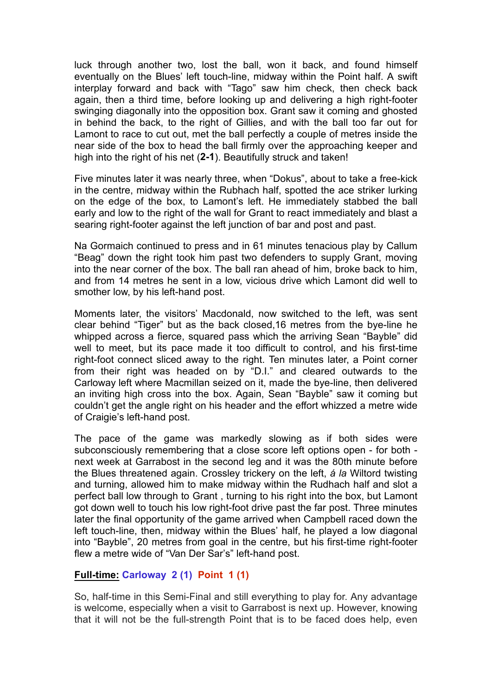luck through another two, lost the ball, won it back, and found himself eventually on the Blues' left touch-line, midway within the Point half. A swift interplay forward and back with "Tago" saw him check, then check back again, then a third time, before looking up and delivering a high right-footer swinging diagonally into the opposition box. Grant saw it coming and ghosted in behind the back, to the right of Gillies, and with the ball too far out for Lamont to race to cut out, met the ball perfectly a couple of metres inside the near side of the box to head the ball firmly over the approaching keeper and high into the right of his net (**2-1**). Beautifully struck and taken!

Five minutes later it was nearly three, when "Dokus", about to take a free-kick in the centre, midway within the Rubhach half, spotted the ace striker lurking on the edge of the box, to Lamont's left. He immediately stabbed the ball early and low to the right of the wall for Grant to react immediately and blast a searing right-footer against the left junction of bar and post and past.

Na Gormaich continued to press and in 61 minutes tenacious play by Callum "Beag" down the right took him past two defenders to supply Grant, moving into the near corner of the box. The ball ran ahead of him, broke back to him, and from 14 metres he sent in a low, vicious drive which Lamont did well to smother low, by his left-hand post.

Moments later, the visitors' Macdonald, now switched to the left, was sent clear behind "Tiger" but as the back closed,16 metres from the bye-line he whipped across a fierce, squared pass which the arriving Sean "Bayble" did well to meet, but its pace made it too difficult to control, and his first-time right-foot connect sliced away to the right. Ten minutes later, a Point corner from their right was headed on by "D.I." and cleared outwards to the Carloway left where Macmillan seized on it, made the bye-line, then delivered an inviting high cross into the box. Again, Sean "Bayble" saw it coming but couldn't get the angle right on his header and the effort whizzed a metre wide of Craigie's left-hand post.

The pace of the game was markedly slowing as if both sides were subconsciously remembering that a close score left options open - for both next week at Garrabost in the second leg and it was the 80th minute before the Blues threatened again. Crossley trickery on the left, *á la* Wiltord twisting and turning, allowed him to make midway within the Rudhach half and slot a perfect ball low through to Grant , turning to his right into the box, but Lamont got down well to touch his low right-foot drive past the far post. Three minutes later the final opportunity of the game arrived when Campbell raced down the left touch-line, then, midway within the Blues' half, he played a low diagonal into "Bayble", 20 metres from goal in the centre, but his first-time right-footer flew a metre wide of "Van Der Sar's" left-hand post.

## **Full-time: Carloway 2 (1) Point 1 (1)**

So, half-time in this Semi-Final and still everything to play for. Any advantage is welcome, especially when a visit to Garrabost is next up. However, knowing that it will not be the full-strength Point that is to be faced does help, even